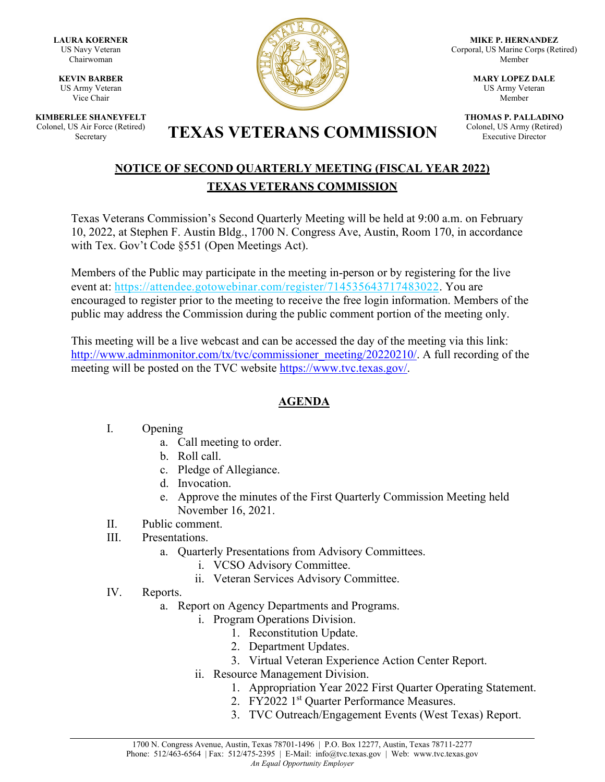**LAURA KOERNER** US Navy Veteran Chairwoman

**KEVIN BARBER** US Army Veteran Vice Chair

**KIMBERLEE SHANEYFELT** Colonel, US Air Force (Retired)



**MIKE P. HERNANDEZ** Corporal, US Marine Corps (Retired) Member

> **MARY LOPEZ DALE** US Army Veteran Member

**THOMAS P. PALLADINO** Colonel, US Army (Retired) Executive Director

# S Air Force (Retired) **TEXAS VETERANS COMMISSION**

## **NOTICE OF SECOND QUARTERLY MEETING (FISCAL YEAR 2022) TEXAS VETERANS COMMISSION**

Texas Veterans Commission's Second Quarterly Meeting will be held at 9:00 a.m. on February 10, 2022, at Stephen F. Austin Bldg., 1700 N. Congress Ave, Austin, Room 170, in accordance with Tex. Gov't Code §551 (Open Meetings Act).

Members of the Public may participate in the meeting in-person or by registering for the live event at: [https://attendee.gotowebinar.com/register/714535643717483022.](https://attendee.gotowebinar.com/register/714535643717483022) You are encouraged to register prior to the meeting to receive the free login information. Members of the public may address the Commission during the public comment portion of the meeting only.

This meeting will be a live webcast and can be accessed the day of the meeting via this link: [http://www.adminmonitor.com/tx/tvc/commissioner\\_meeting/20220210/.](http://www.adminmonitor.com/tx/tvc/commissioner_meeting/20220210/) A full recording of the meeting will be posted on the TVC website [https://www.tvc.texas.gov/.](https://www.tvc.texas.gov/)

# **AGENDA**

#### I. Opening

- a. Call meeting to order.
- b. Roll call.
- c. Pledge of Allegiance.
- d. Invocation.
- e. Approve the minutes of the First Quarterly Commission Meeting held November 16, 2021.
- II. Public comment.
- III. Presentations.
	- a. Quarterly Presentations from Advisory Committees.
		- i. VCSO Advisory Committee.
		- ii. Veteran Services Advisory Committee.
- IV. Reports.
	- a. Report on Agency Departments and Programs.
		- i. Program Operations Division.
			- 1. Reconstitution Update.
			- 2. Department Updates.
			- 3. Virtual Veteran Experience Action Center Report.
			- ii. Resource Management Division.
				- 1. Appropriation Year 2022 First Quarter Operating Statement.
				- 2. FY2022 1<sup>st</sup> Quarter Performance Measures.
				- 3. TVC Outreach/Engagement Events (West Texas) Report.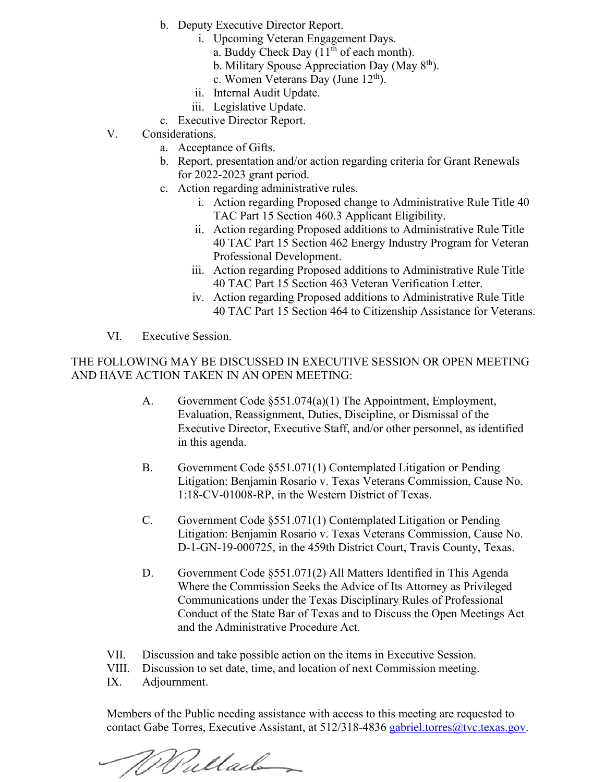- b. Deputy Executive Director Report.
	- i. Upcoming Veteran Engagement Days.
		- a. Buddy Check Day  $(11<sup>th</sup>$  of each month).
		- b. Military Spouse Appreciation Day (May  $8<sup>th</sup>$ ).
		- c. Women Veterans Day (June  $12<sup>th</sup>$ ).
	- ii. Internal Audit Update.
	- iii. Legislative Update.
- c. Executive Director Report.
- V. Considerations.
	- a. Acceptance of Gifts.
	- b. Report, presentation and/or action regarding criteria for Grant Renewals for 2022-2023 grant period.
	- c. Action regarding administrative rules.
		- i. Action regarding Proposed change to Administrative Rule Title 40 TAC Part 15 Section 460.3 Applicant Eligibility.
		- ii. Action regarding Proposed additions to Administrative Rule Title 40 TAC Part 15 Section 462 Energy Industry Program for Veteran Professional Development.
		- iii. Action regarding Proposed additions to Administrative Rule Title 40 TAC Part 15 Section 463 Veteran Verification Letter.
		- iv. Action regarding Proposed additions to Administrative Rule Title 40 TAC Part 15 Section 464 to Citizenship Assistance for Veterans.
- VI. Executive Session.

THE FOLLOWING MAY BE DISCUSSED IN EXECUTIVE SESSION OR OPEN MEETING AND HAVE ACTION TAKEN IN AN OPEN MEETING:

- A. Government Code §551.074(a)(1) The Appointment, Employment, Evaluation, Reassignment, Duties, Discipline, or Dismissal of the Executive Director, Executive Staff, and/or other personnel, as identified in this agenda.
- B. Government Code §551.071(1) Contemplated Litigation or Pending Litigation: Benjamin Rosario v. Texas Veterans Commission, Cause No. 1:18-CV-01008-RP, in the Western District of Texas.
- C. Government Code §551.071(1) Contemplated Litigation or Pending Litigation: Benjamin Rosario v. Texas Veterans Commission, Cause No. D-1-GN-19-000725, in the 459th District Court, Travis County, Texas.
- D. Government Code §551.071(2) All Matters Identified in This Agenda Where the Commission Seeks the Advice of Its Attorney as Privileged Communications under the Texas Disciplinary Rules of Professional Conduct of the State Bar of Texas and to Discuss the Open Meetings Act and the Administrative Procedure Act.
- VII. Discussion and take possible action on the items in Executive Session.
- VIII. Discussion to set date, time, and location of next Commission meeting.
- IX. Adjournment.

Members of the Public needing assistance with access to this meeting are requested to contact Gabe Torres, Executive Assistant, at 512/318-4836 [gabriel.torres@tvc.texas.gov.](mailto:gabriel.torres@tvc.texas.gov)

Mullade